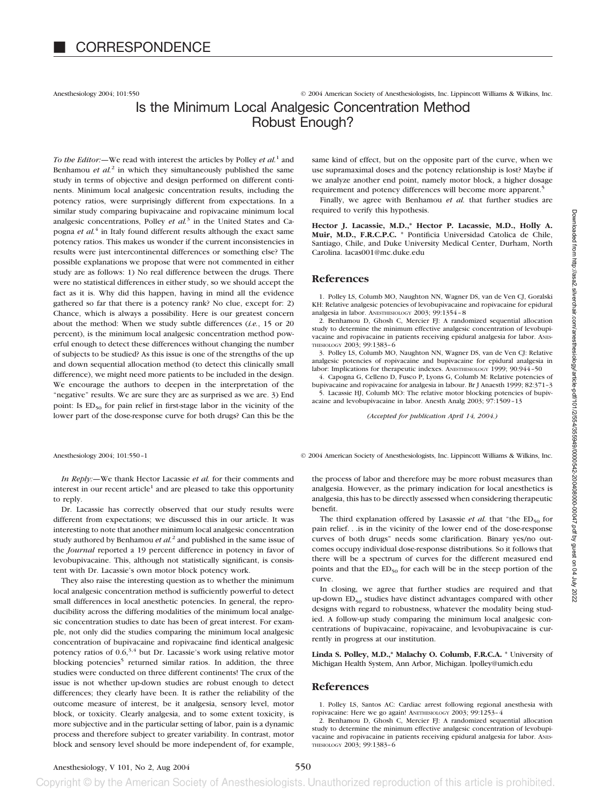Anesthesiology 2004; 101:550 © 2004 American Society of Anesthesiologists, Inc. Lippincott Williams & Wilkins, Inc.

## Is the Minimum Local Analgesic Concentration Method Robust Enough?

*To the Editor:—*We read with interest the articles by Polley *et al.*<sup>1</sup> and Benhamou *et al.*<sup>2</sup> in which they simultaneously published the same study in terms of objective and design performed on different continents. Minimum local analgesic concentration results, including the potency ratios, were surprisingly different from expectations. In a similar study comparing bupivacaine and ropivacaine minimum local analgesic concentrations, Polley *et al.*<sup>3</sup> in the United States and Capogna *et al.*<sup>4</sup> in Italy found different results although the exact same potency ratios. This makes us wonder if the current inconsistencies in results were just intercontinental differences or something else? The possible explanations we propose that were not commented in either study are as follows: 1) No real difference between the drugs. There were no statistical differences in either study, so we should accept the fact as it is. Why did this happen, having in mind all the evidence gathered so far that there is a potency rank? No clue, except for: 2) Chance, which is always a possibility. Here is our greatest concern about the method: When we study subtle differences (*i.e.*, 15 or 20 percent), is the minimum local analgesic concentration method powerful enough to detect these differences without changing the number of subjects to be studied? As this issue is one of the strengths of the up and down sequential allocation method (to detect this clinically small difference), we might need more patients to be included in the design. We encourage the authors to deepen in the interpretation of the "negative" results. We are sure they are as surprised as we are. 3) End point: Is  $ED_{50}$  for pain relief in first-stage labor in the vicinity of the lower part of the dose-response curve for both drugs? Can this be the

same kind of effect, but on the opposite part of the curve, when we use supramaximal doses and the potency relationship is lost? Maybe if we analyze another end point, namely motor block, a higher dosage requirement and potency differences will become more apparent.5

Finally, we agree with Benhamou *et al.* that further studies are required to verify this hypothesis.

**Hector J. Lacassie, M.D.,\* Hector P. Lacassie, M.D., Holly A. Muir, M.D., F.R.C.P.C.** \* Pontificia Universidad Catolica de Chile, Santiago, Chile, and Duke University Medical Center, Durham, North Carolina. lacas001@mc.duke.edu

#### **References**

1. Polley LS, Columb MO, Naughton NN, Wagner DS, van de Ven CJ, Goralski KH: Relative analgesic potencies of levobupivacaine and ropivacaine for epidural analgesia in labor. ANESTHESIOLOGY 2003; 99:1354–8

2. Benhamou D, Ghosh C, Mercier FJ: A randomized sequential allocation study to determine the minimum effective analgesic concentration of levobupivacaine and ropivacaine in patients receiving epidural analgesia for labor. ANES-THESIOLOGY 2003; 99:1383–6

3. Polley LS, Columb MO, Naughton NN, Wagner DS, van de Ven CJ: Relative analgesic potencies of ropivacaine and bupivacaine for epidural analgesia in labor: Implications for therapeutic indexes. ANESTHESIOLOGY 1999; 90:944–50

4. Capogna G, Celleno D, Fusco P, Lyons G, Columb M: Relative potencies of bupivacaine and ropivacaine for analgesia in labour. Br J Anaesth 1999; 82:371–3

5. Lacassie HJ, Columb MO: The relative motor blocking potencies of bupivacaine and levobupivacaine in labor. Anesth Analg 2003; 97:1509–13

*(Accepted for publication April 14, 2004.)*

*In Reply:—*We thank Hector Lacassie *et al.* for their comments and interest in our recent article<sup>1</sup> and are pleased to take this opportunity to reply.

Dr. Lacassie has correctly observed that our study results were different from expectations; we discussed this in our article. It was interesting to note that another minimum local analgesic concentration study authored by Benhamou *et al.*<sup>2</sup> and published in the same issue of the *Journal* reported a 19 percent difference in potency in favor of levobupivacaine. This, although not statistically significant, is consistent with Dr. Lacassie's own motor block potency work.

They also raise the interesting question as to whether the minimum local analgesic concentration method is sufficiently powerful to detect small differences in local anesthetic potencies. In general, the reproducibility across the differing modalities of the minimum local analgesic concentration studies to date has been of great interest. For example, not only did the studies comparing the minimum local analgesic concentration of bupivacaine and ropivacaine find identical analgesic potency ratios of  $0.6$ ,<sup>3,4</sup> but Dr. Lacassie's work using relative motor blocking potencies<sup>5</sup> returned similar ratios. In addition, the three studies were conducted on three different continents! The crux of the issue is not whether up-down studies are robust enough to detect differences; they clearly have been. It is rather the reliability of the outcome measure of interest, be it analgesia, sensory level, motor block, or toxicity. Clearly analgesia, and to some extent toxicity, is more subjective and in the particular setting of labor, pain is a dynamic process and therefore subject to greater variability. In contrast, motor block and sensory level should be more independent of, for example,

Anesthesiology 2004; 101:550–1 © 2004 American Society of Anesthesiologists, Inc. Lippincott Williams & Wilkins, Inc.

the process of labor and therefore may be more robust measures than analgesia. However, as the primary indication for local anesthetics is analgesia, this has to be directly assessed when considering therapeutic benefit.

The third explanation offered by Lasassie *et al.* that "the  $ED_{50}$  for pain relief. . .is in the vicinity of the lower end of the dose-response curves of both drugs" needs some clarification. Binary yes/no outcomes occupy individual dose-response distributions. So it follows that there will be a spectrum of curves for the different measured end points and that the  $ED_{50}$  for each will be in the steep portion of the curve.

In closing, we agree that further studies are required and that up-down  $ED_{50}$  studies have distinct advantages compared with other designs with regard to robustness, whatever the modality being studied. A follow-up study comparing the minimum local analgesic concentrations of bupivacaine, ropivacaine, and levobupivacaine is currently in progress at our institution.

**Linda S. Polley, M.D.,\* Malachy O. Columb, F.R.C.A.** \* University of Michigan Health System, Ann Arbor, Michigan. lpolley@umich.edu

### **References**

1. Polley LS, Santos AC: Cardiac arrest following regional anesthesia with ropivacaine: Here we go again! ANETHESIOLOGY 2003; 99:1253–4

2. Benhamou D, Ghosh C, Mercier FJ: A randomized sequential allocation study to determine the minimum effective analgesic concentration of levobupivacaine and ropivacaine in patients receiving epidural analgesia for labor. ANES-THESIOLOGY 2003; 99:1383–6

Copyright © by the American Society of Anesthesiologists. Unauthorized reproduction of this article is prohibited.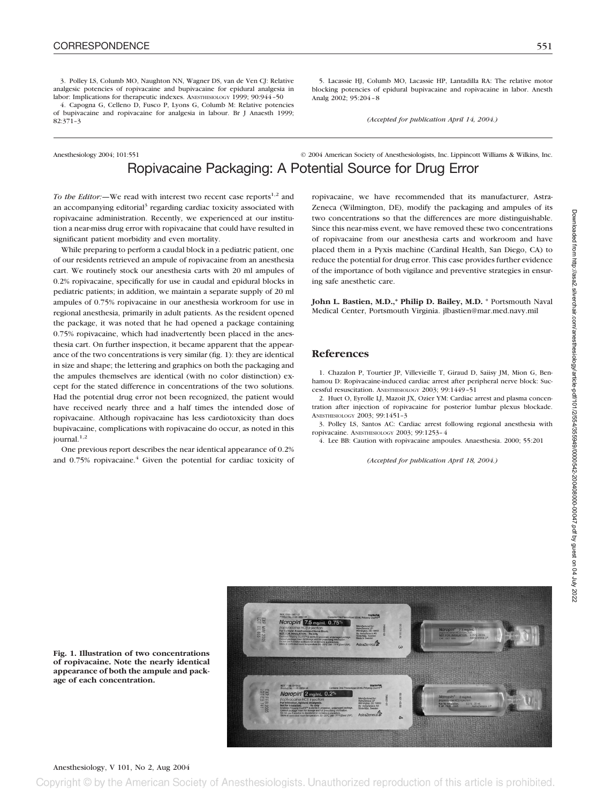3. Polley LS, Columb MO, Naughton NN, Wagner DS, van de Ven CJ: Relative analgesic potencies of ropivacaine and bupivacaine for epidural analgesia in labor: Implications for therapeutic indexes. ANESTHESIOLOGY 1999; 90:944–50

4. Capogna G, Celleno D, Fusco P, Lyons G, Columb M: Relative potencies of bupivacaine and ropivacaine for analgesia in labour. Br J Anaesth 1999; 82:371–3

5. Lacassie HJ, Columb MO, Lacassie HP, Lantadilla RA: The relative motor blocking potencies of epidural bupivacaine and ropivacaine in labor. Anesth Analg 2002; 95:204–8

*(Accepted for publication April 14, 2004.)*

## Anesthesiology 2004; 101:551 © 2004 American Society of Anesthesiologists, Inc. Lippincott Williams & Wilkins, Inc. Ropivacaine Packaging: A Potential Source for Drug Error

*To the Editor:*—We read with interest two recent case reports<sup>1,2</sup> and an accompanying editorial<sup>3</sup> regarding cardiac toxicity associated with ropivacaine administration. Recently, we experienced at our institution a near-miss drug error with ropivacaine that could have resulted in significant patient morbidity and even mortality.

While preparing to perform a caudal block in a pediatric patient, one of our residents retrieved an ampule of ropivacaine from an anesthesia cart. We routinely stock our anesthesia carts with 20 ml ampules of 0.2% ropivacaine, specifically for use in caudal and epidural blocks in pediatric patients; in addition, we maintain a separate supply of 20 ml ampules of 0.75% ropivacaine in our anesthesia workroom for use in regional anesthesia, primarily in adult patients. As the resident opened the package, it was noted that he had opened a package containing 0.75% ropivacaine, which had inadvertently been placed in the anesthesia cart. On further inspection, it became apparent that the appearance of the two concentrations is very similar (fig. 1): they are identical in size and shape; the lettering and graphics on both the packaging and the ampules themselves are identical (with no color distinction) except for the stated difference in concentrations of the two solutions. Had the potential drug error not been recognized, the patient would have received nearly three and a half times the intended dose of ropivacaine. Although ropivacaine has less cardiotoxicity than does bupivacaine, complications with ropivacaine do occur, as noted in this iournal. $1,2$ 

One previous report describes the near identical appearance of 0.2% and  $0.75\%$  ropivacaine.<sup>4</sup> Given the potential for cardiac toxicity of ropivacaine, we have recommended that its manufacturer, Astra-Zeneca (Wilmington, DE), modify the packaging and ampules of its two concentrations so that the differences are more distinguishable. Since this near-miss event, we have removed these two concentrations of ropivacaine from our anesthesia carts and workroom and have placed them in a Pyxis machine (Cardinal Health, San Diego, CA) to reduce the potential for drug error. This case provides further evidence of the importance of both vigilance and preventive strategies in ensuring safe anesthetic care.

**John L. Bastien, M.D.,\* Philip D. Bailey, M.D.** \* Portsmouth Naval Medical Center, Portsmouth Virginia. jlbastien@mar.med.navy.mil

#### **References**

1. Chazalon P, Tourtier JP, Villevieille T, Giraud D, Saiisy JM, Mion G, Benhamou D: Ropivacaine-induced cardiac arrest after peripheral nerve block: Successful resuscitation. ANESTHESIOLOGY 2003; 99:1449–51

2. Huet O, Eyrolle LJ, Mazoit JX, Ozier YM: Cardiac arrest and plasma concentration after injection of ropivacaine for posterior lumbar plexus blockade. ANESTHESIOLOGY 2003; 99:1451–3

3. Polley LS, Santos AC: Cardiac arrest following regional anesthesia with ropivacaine. ANESTHESIOLOGY 2003; 99:1253–4

4. Lee BB: Caution with ropivacaine ampoules. Anaesthesia. 2000; 55:201

*(Accepted for publication April 18, 2004.)*



**Fig. 1. Illustration of two concentrations of ropivacaine. Note the nearly identical appearance of both the ampule and package of each concentration.**

Copyright © by the American Society of Anesthesiologists. Unauthorized reproduction of this article is prohibited.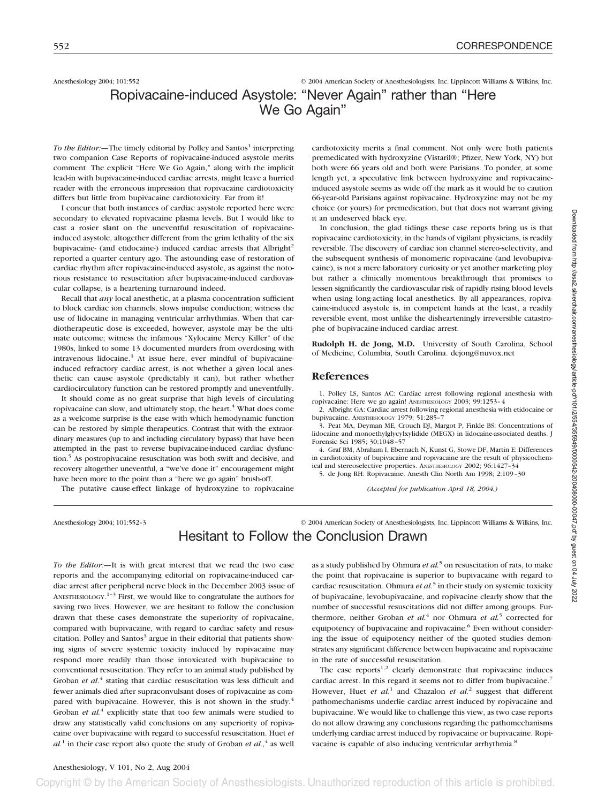#### Anesthesiology 2004; 101:552 © 2004 American Society of Anesthesiologists, Inc. Lippincott Williams & Wilkins, Inc.

## Ropivacaine-induced Asystole: "Never Again" rather than "Here We Go Again"

*To the Editor:*—The timely editorial by Polley and Santos<sup>1</sup> interpreting two companion Case Reports of ropivacaine-induced asystole merits comment. The explicit "Here We Go Again," along with the implicit lead-in with bupivacaine-induced cardiac arrests, might leave a hurried reader with the erroneous impression that ropivacaine cardiotoxicity differs but little from bupivacaine cardiotoxicity. Far from it!

I concur that both instances of cardiac asystole reported here were secondary to elevated ropivacaine plasma levels. But I would like to cast a rosier slant on the uneventful resuscitation of ropivacaineinduced asystole, altogether different from the grim lethality of the six bupivacaine- (and etidocaine-) induced cardiac arrests that Albright<sup>2</sup> reported a quarter century ago. The astounding ease of restoration of cardiac rhythm after ropivacaine-induced asystole, as against the notorious resistance to resuscitation after bupivacaine-induced cardiovascular collapse, is a heartening turnaround indeed.

Recall that *any* local anesthetic, at a plasma concentration sufficient to block cardiac ion channels, slows impulse conduction; witness the use of lidocaine in managing ventricular arrhythmias. When that cardiotherapeutic dose is exceeded, however, asystole may be the ultimate outcome; witness the infamous "Xylocaine Mercy Killer" of the 1980s, linked to some 13 documented murders from overdosing with intravenous lidocaine.<sup>3</sup> At issue here, ever mindful of bupivacaineinduced refractory cardiac arrest, is not whether a given local anesthetic can cause asystole (predictably it can), but rather whether cardiocirculatory function can be restored promptly and uneventfully.

It should come as no great surprise that high levels of circulating ropivacaine can slow, and ultimately stop, the heart.<sup>4</sup> What does come as a welcome surprise is the ease with which hemodynamic function can be restored by simple therapeutics. Contrast that with the extraordinary measures (up to and including circulatory bypass) that have been attempted in the past to reverse bupivacaine-induced cardiac dysfunction.5 As postropivacaine resuscitation was both swift and decisive, and recovery altogether uneventful, a "we've done it" encouragement might have been more to the point than a "here we go again" brush-off.

The putative cause-effect linkage of hydroxyzine to ropivacaine

cardiotoxicity merits a final comment. Not only were both patients premedicated with hydroxyzine (Vistaril®; Pfizer, New York, NY) but both were 66 years old and both were Parisians. To ponder, at some length yet, a speculative link between hydroxyzine and ropivacaineinduced asystole seems as wide off the mark as it would be to caution 66-year-old Parisians against ropivacaine. Hydroxyzine may not be my choice (or yours) for premedication, but that does not warrant giving it an undeserved black eye.

In conclusion, the glad tidings these case reports bring us is that ropivacaine cardiotoxicity, in the hands of vigilant physicians, is readily reversible. The discovery of cardiac ion channel stereo-selectivity, and the subsequent synthesis of monomeric ropivacaine (and levobupivacaine), is not a mere laboratory curiosity or yet another marketing ploy but rather a clinically momentous breakthrough that promises to lessen significantly the cardiovascular risk of rapidly rising blood levels when using long-acting local anesthetics. By all appearances, ropivacaine-induced asystole is, in competent hands at the least, a readily reversible event, most unlike the dishearteningly irreversible catastrophe of bupivacaine-induced cardiac arrest.

**Rudolph H. de Jong, M.D.** University of South Carolina, School of Medicine, Columbia, South Carolina. dejong@nuvox.net

#### **References**

1. Polley LS, Santos AC: Cardiac arrest following regional anesthesia with ropivacaine: Here we go again! ANESTHESIOLOGY 2003; 99:1253–4

2. Albright GA: Cardiac arrest following regional anesthesia with etidocaine or bupivacaine. ANESTHESIOLOGY 1979; 51:285–7

3. Peat MA, Deyman ME, Crouch DJ, Margot P, Finkle BS: Concentrations of lidocaine and monoethylglycylxylidide (MEGX) in lidocaine-associated deaths. J Forensic Sci 1985; 30:1048–57

4. Graf BM, Abraham I, Ebernach N, Kunst G, Stowe DF, Martin E: Differences in cardiotoxicity of bupivacaine and ropivacaine are the result of physicochemical and stereoselective properties. ANESTHESIOLOGY 2002; 96:1427–34

5. de Jong RH: Ropivacaine. Anesth Clin North Am 1998; 2:109–30

*(Accepted for publication April 18, 2004.)*

# Hesitant to Follow the Conclusion Drawn

*To the Editor:—*It is with great interest that we read the two case reports and the accompanying editorial on ropivacaine-induced cardiac arrest after peripheral nerve block in the December 2003 issue of ANESTHESIOLOGY.<sup>1-3</sup> First, we would like to congratulate the authors for saving two lives. However, we are hesitant to follow the conclusion drawn that these cases demonstrate the superiority of ropivacaine, compared with bupivacaine, with regard to cardiac safety and resuscitation. Polley and Santos<sup>3</sup> argue in their editorial that patients showing signs of severe systemic toxicity induced by ropivacaine may respond more readily than those intoxicated with bupivacaine to conventional resuscitation. They refer to an animal study published by Groban et al.<sup>4</sup> stating that cardiac resuscitation was less difficult and fewer animals died after supraconvulsant doses of ropivacaine as compared with bupivacaine. However, this is not shown in the study.<sup>4</sup> Groban *et al.*<sup>4</sup> explicitly state that too few animals were studied to draw any statistically valid conclusions on any superiority of ropivacaine over bupivacaine with regard to successful resuscitation. Huet *et*  $al<sup>1</sup>$  in their case report also quote the study of Groban *et al.*,<sup>4</sup> as well

Anesthesiology 2004; 101:552–3 © 2004 American Society of Anesthesiologists, Inc. Lippincott Williams & Wilkins, Inc.

as a study published by Ohmura *et al.*<sup>5</sup> on resuscitation of rats, to make the point that ropivacaine is superior to bupivacaine with regard to cardiac resuscitation. Ohmura *et al*. <sup>5</sup> in their study on systemic toxicity of bupivacaine, levobupivacaine, and ropivacine clearly show that the number of successful resuscitations did not differ among groups. Furthermore, neither Groban *et al.*<sup>4</sup> nor Ohmura *et al.*<sup>5</sup> corrected for equipotency of bupivacaine and ropivacaine.<sup>6</sup> Even without considering the issue of equipotency neither of the quoted studies demonstrates any significant difference between bupivacaine and ropivacaine in the rate of successful resuscitation.

The case  $reports^{1,2}$  clearly demonstrate that ropivacaine induces cardiac arrest. In this regard it seems not to differ from bupivacaine.<sup>7</sup> However, Huet *et al.*<sup>1</sup> and Chazalon *et al.*<sup>2</sup> suggest that different pathomechanisms underlie cardiac arrest induced by ropivacaine and bupivacaine. We would like to challenge this view, as two case reports do not allow drawing any conclusions regarding the pathomechanisms underlying cardiac arrest induced by ropivacaine or bupivacaine. Ropivacaine is capable of also inducing ventricular arrhythmia.<sup>8</sup>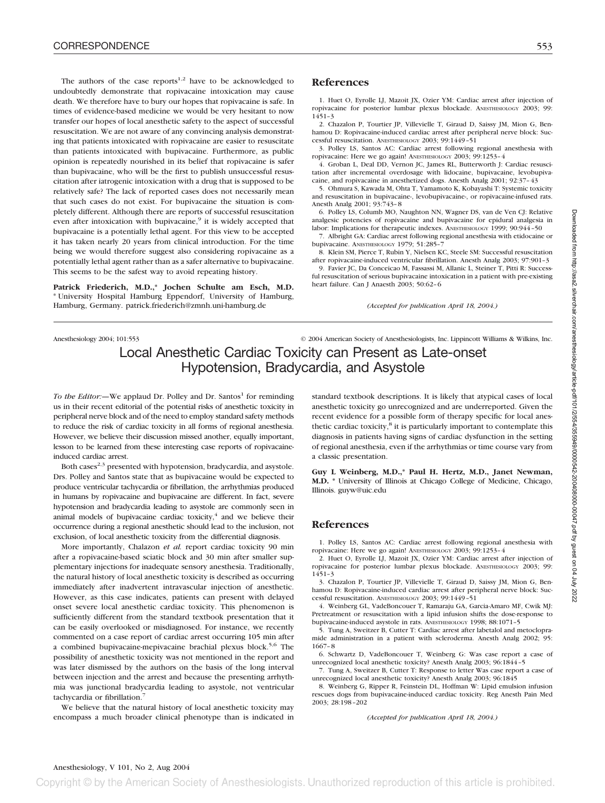The authors of the case reports $1,2$  have to be acknowledged to undoubtedly demonstrate that ropivacaine intoxication may cause death. We therefore have to bury our hopes that ropivacaine is safe. In times of evidence-based medicine we would be very hesitant to now transfer our hopes of local anesthetic safety to the aspect of successful resuscitation. We are not aware of any convincing analysis demonstrating that patients intoxicated with ropivacaine are easier to resuscitate than patients intoxicated with bupivacaine. Furthermore, as public opinion is repeatedly nourished in its belief that ropivacaine is safer than bupivacaine, who will be the first to publish unsuccessful resuscitation after iatrogenic intoxication with a drug that is supposed to be relatively safe? The lack of reported cases does not necessarily mean that such cases do not exist. For bupivacaine the situation is completely different. Although there are reports of successful resuscitation even after intoxication with bupivacaine,<sup>9</sup> it is widely accepted that bupivacaine is a potentially lethal agent. For this view to be accepted it has taken nearly 20 years from clinical introduction. For the time being we would therefore suggest also considering ropivacaine as a potentially lethal agent rather than as a safer alternative to bupivacaine. This seems to be the safest way to avoid repeating history.

**Patrick Friederich, M.D.,\* Jochen Schulte am Esch, M.D.** \* University Hospital Hamburg Eppendorf, University of Hamburg, Hamburg, Germany. patrick.friederich@zmnh.uni-hamburg.de

#### **References**

1. Huet O, Eyrolle LJ, Mazoit JX, Ozier YM: Cardiac arrest after injection of ropivacaine for posterior lumbar plexus blockade. ANESTHESIOLOGY 2003; 99: 1451–3

2. Chazalon P, Tourtier JP, Villevielle T, Giraud D, Saissy JM, Mion G, Benhamou D: Ropivacaine-induced cardiac arrest after peripheral nerve block: Successful resuscitation. ANESTHESIOLOGY 2003; 99:1449–51

3. Polley LS, Santos AC: Cardiac arrest following regional anesthesia with ropivacaine: Here we go again! ANESTHESIOLOGY 2003; 99:1253–4

4. Groban L, Deal DD, Vernon JC, James RL, Butterworth J: Cardiac resuscitation after incremental overdosage with lidocaine, bupivacaine, levobupivacaine, and ropivacaine in anesthetized dogs. Anesth Analg 2001; 92:37–43

5. Ohmura S, Kawada M, Ohta T, Yamamoto K, Kobayashi T: Systemic toxicity and resuscitation in bupivacaine-, levobupivacaine-, or ropivacaine-infused rats. Anesth Analg 2001; 93:743–8

6. Polley LS, Columb MO, Naughton NN, Wagner DS, van de Ven CJ: Relative analgesic potencies of ropivacaine and bupivacaine for epidural analgesia in labor: Implications for therapeutic indexes. ANESTHESIOLOGY 1999; 90:944-50

7. Albright GA: Cardiac arrest following regional anesthesia with etidocaine or bupivacaine. ANESTHESIOLOGY 1979; 51:285–7

8. Klein SM, Pierce T, Rubin Y, Nielsen KC, Steele SM: Successful resuscitation after ropivacaine-induced ventricular fibrillation. Anesth Analg 2003; 97:901–3 9. Favier JC, Da Conceicao M, Fassassi M, Allanic L, Steiner T, Pitti R: Successful resuscitation of serious bupivacaine intoxication in a patient with pre-existing heart failure. Can J Anaesth 2003; 50:62–6

*(Accepted for publication April 18, 2004.)*

Anesthesiology 2004; 101:553 © 2004 American Society of Anesthesiologists, Inc. Lippincott Williams & Wilkins, Inc.

## Local Anesthetic Cardiac Toxicity can Present as Late-onset Hypotension, Bradycardia, and Asystole

*To the Editor:*—We applaud Dr. Polley and Dr. Santos<sup>1</sup> for reminding us in their recent editorial of the potential risks of anesthetic toxicity in peripheral nerve block and of the need to employ standard safety methods to reduce the risk of cardiac toxicity in all forms of regional anesthesia. However, we believe their discussion missed another, equally important, lesson to be learned from these interesting case reports of ropivacaineinduced cardiac arrest.

Both cases<sup>2,3</sup> presented with hypotension, bradycardia, and asystole. Drs. Polley and Santos state that as bupivacaine would be expected to produce ventricular tachycardia or fibrillation, the arrhythmias produced in humans by ropivacaine and bupivacaine are different. In fact, severe hypotension and bradycardia leading to asystole are commonly seen in animal models of bupivacaine cardiac toxicity, $4$  and we believe their occurrence during a regional anesthetic should lead to the inclusion, not exclusion, of local anesthetic toxicity from the differential diagnosis.

More importantly, Chalazon *et al.* report cardiac toxicity 90 min after a ropivacaine-based sciatic block and 30 min after smaller supplementary injections for inadequate sensory anesthesia. Traditionally, the natural history of local anesthetic toxicity is described as occurring immediately after inadvertent intravascular injection of anesthetic. However, as this case indicates, patients can present with delayed onset severe local anesthetic cardiac toxicity. This phenomenon is sufficiently different from the standard textbook presentation that it can be easily overlooked or misdiagnosed. For instance, we recently commented on a case report of cardiac arrest occurring 105 min after a combined bupivacaine-mepivacaine brachial plexus block.5,6 The possibility of anesthetic toxicity was not mentioned in the report and was later dismissed by the authors on the basis of the long interval between injection and the arrest and because the presenting arrhythmia was junctional bradycardia leading to asystole, not ventricular tachycardia or fibrillation.<sup>7</sup>

We believe that the natural history of local anesthetic toxicity may encompass a much broader clinical phenotype than is indicated in standard textbook descriptions. It is likely that atypical cases of local anesthetic toxicity go unrecognized and are underreported. Given the recent evidence for a possible form of therapy specific for local anesthetic cardiac toxicity,<sup>8</sup> it is particularly important to contemplate this diagnosis in patients having signs of cardiac dysfunction in the setting of regional anesthesia, even if the arrhythmias or time course vary from a classic presentation.

**Guy L Weinberg, M.D.,\* Paul H. Hertz, M.D., Janet Newman, M.D. \*** University of Illinois at Chicago College of Medicine, Chicago, Illinois. guyw@uic.edu

#### **References**

1. Polley LS, Santos AC: Cardiac arrest following regional anesthesia with ropivacaine: Here we go again! ANESTHESIOLOGY 2003; 99:1253–4

2. Huet O, Eyrolle LJ, Mazoit JX, Ozier YM: Cardiac arrest after injection of ropivacaine for posterior lumbar plexus blockade. ANESTHESIOLOGY 2003; 99: 1451–3

3. Chazalon P, Tourtier JP, Villevielle T, Giraud D, Saissy JM, Mion G, Benhamou D: Ropivacaine-induced cardiac arrest after peripheral nerve block: Successful resuscitation. ANESTHESIOLOGY 2003; 99:1449–51

4. Weinberg GL, VadeBoncouer T, Ramaraju GA, Garcia-Amaro MF, Cwik MJ: Pretreatment or resuscitation with a lipid infusion shifts the dose-response to bupivacaine-induced asystole in rats. ANESTHESIOLOGY 1998; 88:1071–5

5. Tung A, Sweitzer B, Cutter T: Cardiac arrest after labetalol and metoclopramide administration in a patient with scleroderma. Anesth Analg 2002; 95: 1667–8

6. Schwartz D, VadeBoncouer T, Weinberg G: Was case report a case of unrecognized local anesthetic toxicity? Anesth Analg 2003; 96:1844–5

7. Tung A, Sweitzer B, Cutter T: Response to letter Was case report a case of unrecognized local anesthetic toxicity? Anesth Analg 2003; 96:1845

8. Weinberg G, Ripper R, Feinstein DL, Hoffman W: Lipid emulsion infusion rescues dogs from bupivacaine-induced cardiac toxicity. Reg Anesth Pain Med 2003; 28:198–202

*(Accepted for publication April 18, 2004.)*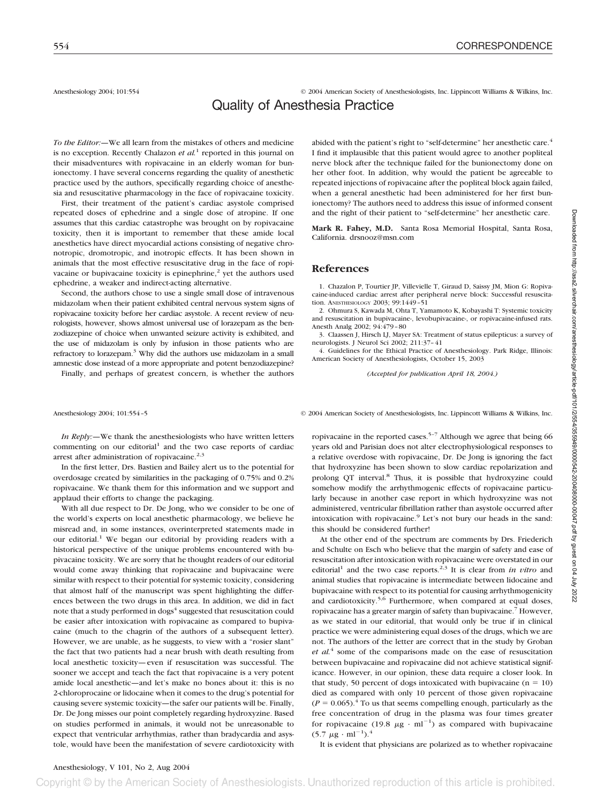Anesthesiology 2004; 101:554 © 2004 American Society of Anesthesiologists, Inc. Lippincott Williams & Wilkins, Inc.

## Quality of Anesthesia Practice

*To the Editor:—*We all learn from the mistakes of others and medicine is no exception. Recently Chalazon *et al.*<sup>1</sup> reported in this journal on their misadventures with ropivacaine in an elderly woman for bunionectomy. I have several concerns regarding the quality of anesthetic practice used by the authors, specifically regarding choice of anesthesia and resuscitative pharmacology in the face of ropivacaine toxicity.

First, their treatment of the patient's cardiac asystole comprised repeated doses of ephedrine and a single dose of atropine. If one assumes that this cardiac catastrophe was brought on by ropivacaine toxicity, then it is important to remember that these amide local anesthetics have direct myocardial actions consisting of negative chronotropic, dromotropic, and inotropic effects. It has been shown in animals that the most effective resuscitative drug in the face of ropivacaine or bupivacaine toxicity is epinephrine, $\frac{2}{3}$  yet the authors used ephedrine, a weaker and indirect-acting alternative.

Second, the authors chose to use a single small dose of intravenous midazolam when their patient exhibited central nervous system signs of ropivacaine toxicity before her cardiac asystole. A recent review of neurologists, however, shows almost universal use of lorazepam as the benzodiazepine of choice when unwanted seizure activity is exhibited, and the use of midazolam is only by infusion in those patients who are refractory to lorazepam.<sup>3</sup> Why did the authors use midazolam in a small amnestic dose instead of a more appropriate and potent benzodiazepine?

Finally, and perhaps of greatest concern, is whether the authors

abided with the patient's right to "self-determine" her anesthetic care.<sup>4</sup> I find it implausible that this patient would agree to another popliteal nerve block after the technique failed for the bunionectomy done on her other foot. In addition, why would the patient be agreeable to repeated injections of ropivacaine after the popliteal block again failed, when a general anesthetic had been administered for her first bunionectomy? The authors need to address this issue of informed consent and the right of their patient to "self-determine" her anesthetic care.

**Mark R. Fahey, M.D.** Santa Rosa Memorial Hospital, Santa Rosa, California. drsnooz@msn.com

#### **References**

1. Chazalon P, Tourtier JP, Villevielle T, Giraud D, Saissy JM, Mion G: Ropivacaine-induced cardiac arrest after peripheral nerve block: Successful resuscitation. ANESTHESIOLOGY 2003; 99:1449–51

2. Ohmura S, Kawada M, Ohta T, Yamamoto K, Kobayashi T: Systemic toxicity and resuscitation in bupivacaine-, levobupivacaine-, or ropivacaine-infused rats. Anesth Analg 2002; 94:479–80

3. Claassen J, Hirsch LJ, Mayer SA: Treatment of status epilepticus: a survey of neurologists. J Neurol Sci 2002; 211:37–41

4. Guidelines for the Ethical Practice of Anesthesiology. Park Ridge, Illinois: American Society of Anesthesiologists, October 15, 2003

*(Accepted for publication April 18, 2004.)*

*In Reply:—*We thank the anesthesiologists who have written letters commenting on our editorial<sup>1</sup> and the two case reports of cardiac arrest after administration of ropivacaine. $2,3$ 

In the first letter, Drs. Bastien and Bailey alert us to the potential for overdosage created by similarities in the packaging of 0.75% and 0.2% ropivacaine. We thank them for this information and we support and applaud their efforts to change the packaging.

With all due respect to Dr. De Jong, who we consider to be one of the world's experts on local anesthetic pharmacology, we believe he misread and, in some instances, overinterpreted statements made in our editorial.<sup>1</sup> We began our editorial by providing readers with a historical perspective of the unique problems encountered with bupivacaine toxicity. We are sorry that he thought readers of our editorial would come away thinking that ropivacaine and bupivacaine were similar with respect to their potential for systemic toxicity, considering that almost half of the manuscript was spent highlighting the differences between the two drugs in this area. In addition, we did in fact note that a study performed in dogs<sup>4</sup> suggested that resuscitation could be easier after intoxication with ropivacaine as compared to bupivacaine (much to the chagrin of the authors of a subsequent letter). However, we are unable, as he suggests, to view with a "rosier slant" the fact that two patients had a near brush with death resulting from local anesthetic toxicity—even if resuscitation was successful. The sooner we accept and teach the fact that ropivacaine is a very potent amide local anesthetic—and let's make no bones about it: this is no 2-chloroprocaine or lidocaine when it comes to the drug's potential for causing severe systemic toxicity—the safer our patients will be. Finally, Dr. De Jong misses our point completely regarding hydroxyzine. Based on studies performed in animals, it would not be unreasonable to expect that ventricular arrhythmias, rather than bradycardia and asystole, would have been the manifestation of severe cardiotoxicity with

Anesthesiology 2004; 101:554-5 © 2004 American Society of Anesthesiologists, Inc. Lippincott Williams & Wilkins, Inc.

ropivacaine in the reported cases.<sup>5-7</sup> Although we agree that being 66 years old and Parisian does not alter electrophysiological responses to a relative overdose with ropivacaine, Dr. De Jong is ignoring the fact that hydroxyzine has been shown to slow cardiac repolarization and prolong QT interval.8 Thus, it is possible that hydroxyzine could somehow modify the arrhythmogenic effects of ropivacaine particularly because in another case report in which hydroxyzine was not administered, ventricular fibrillation rather than asystole occurred after intoxication with ropivacaine.<sup>9</sup> Let's not bury our heads in the sand: this should be considered further!

At the other end of the spectrum are comments by Drs. Friederich and Schulte on Esch who believe that the margin of safety and ease of resuscitation after intoxication with ropivacaine were overstated in our editorial<sup>1</sup> and the two case reports.<sup>2,3</sup> It is clear from *in vitro* and animal studies that ropivacaine is intermediate between lidocaine and bupivacaine with respect to its potential for causing arrhythmogenicity and cardiotoxicity.<sup>5,6</sup> Furthermore, when compared at equal doses, ropivacaine has a greater margin of safety than bupivacaine.<sup>7</sup> However, as we stated in our editorial, that would only be true if in clinical practice we were administering equal doses of the drugs, which we are not. The authors of the letter are correct that in the study by Groban *et al.*<sup>4</sup> some of the comparisons made on the ease of resuscitation between bupivacaine and ropivacaine did not achieve statistical significance. However, in our opinion, these data require a closer look. In that study, 50 percent of dogs intoxicated with bupivacaine  $(n = 10)$ died as compared with only 10 percent of those given ropivacaine  $(P = 0.065)$ .<sup>4</sup> To us that seems compelling enough, particularly as the free concentration of drug in the plasma was four times greater for ropivacaine (19.8  $\mu$ g · ml<sup>-1</sup>) as compared with bupivacaine  $(5.7 \ \mu g \cdot ml^{-1})$ .<sup>4</sup>

It is evident that physicians are polarized as to whether ropivacaine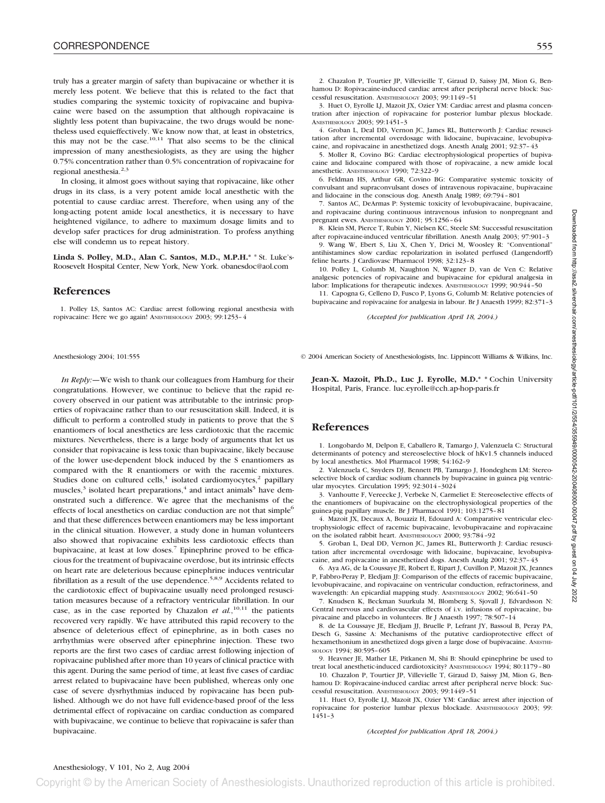truly has a greater margin of safety than bupivacaine or whether it is merely less potent. We believe that this is related to the fact that studies comparing the systemic toxicity of ropivacaine and bupivacaine were based on the assumption that although ropivacaine is slightly less potent than bupivacaine, the two drugs would be nonetheless used equieffectively. We know now that, at least in obstetrics, this may not be the case.<sup>10,11</sup> That also seems to be the clinical impression of many anesthesiologists, as they are using the higher 0.75% concentration rather than 0.5% concentration of ropivacaine for regional anesthesia.<sup>2,3</sup>

In closing, it almost goes without saying that ropivacaine, like other drugs in its class, is a very potent amide local anesthetic with the potential to cause cardiac arrest. Therefore, when using any of the long-acting potent amide local anesthetics, it is necessary to have heightened vigilance, to adhere to maximum dosage limits and to develop safer practices for drug administration. To profess anything else will condemn us to repeat history.

**Linda S. Polley, M.D., Alan C. Santos, M.D., M.P.H.\*** \* St. Luke's-Roosevelt Hospital Center, New York, New York. obanesdoc@aol.com

#### **References**

1. Polley LS, Santos AC: Cardiac arrest following regional anesthesia with ropivacaine: Here we go again! ANESTHESIOLOGY 2003; 99:1253–4

*In Reply:—*We wish to thank our colleagues from Hamburg for their congratulations. However, we continue to believe that the rapid recovery observed in our patient was attributable to the intrinsic properties of ropivacaine rather than to our resuscitation skill. Indeed, it is difficult to perform a controlled study in patients to prove that the S enantiomers of local anesthetics are less cardiotoxic that the racemic mixtures. Nevertheless, there is a large body of arguments that let us consider that ropivacaine is less toxic than bupivacaine, likely because of the lower use-dependent block induced by the S enantiomers as compared with the R enantiomers or with the racemic mixtures. Studies done on cultured cells,<sup>1</sup> isolated cardiomyocytes,<sup>2</sup> papillary muscles, $3$  isolated heart preparations, $4$  and intact animals<sup>5</sup> have demonstrated such a difference. We agree that the mechanisms of the effects of local anesthetics on cardiac conduction are not that simple<sup>6</sup> and that these differences between enantiomers may be less important in the clinical situation. However, a study done in human volunteers also showed that ropivacaine exhibits less cardiotoxic effects than bupivacaine, at least at low doses.<sup>7</sup> Epinephrine proved to be efficacious for the treatment of bupivacaine overdose, but its intrinsic effects on heart rate are deleterious because epinephrine induces ventricular fibrillation as a result of the use dependence.<sup>5,8,9</sup> Accidents related to the cardiotoxic effect of bupivacaine usually need prolonged resuscitation measures because of a refractory ventricular fibrillation. In our case, as in the case reported by Chazalon  $et \ al$ ,  $^{10,11}$  the patients recovered very rapidly. We have attributed this rapid recovery to the absence of deleterious effect of epinephrine, as in both cases no arrhythmias were observed after epinephrine injection. These two reports are the first two cases of cardiac arrest following injection of ropivacaine published after more than 10 years of clinical practice with this agent. During the same period of time, at least five cases of cardiac arrest related to bupivacaine have been published, whereas only one case of severe dysrhythmias induced by ropivacaine has been published. Although we do not have full evidence-based proof of the less detrimental effect of ropivacaine on cardiac conduction as compared with bupivacaine, we continue to believe that ropivacaine is safer than bupivacaine.

3. Huet O, Eyrolle LJ, Mazoit JX, Ozier YM: Cardiac arrest and plasma concentration after injection of ropivacaine for posterior lumbar plexus blockade. ANESTHESIOLOGY 2003; 99:1451–3

4. Groban L, Deal DD, Vernon JC, James RL, Butterworth J: Cardiac resuscitation after incremental overdosage with lidocaine, bupivacaine, levobupivacaine, and ropivacaine in anesthetized dogs. Anesth Analg 2001; 92:37–43

5. Moller R, Covino BG: Cardiac electrophysiological properties of bupivacaine and lidocaine compared with those of ropivacaine, a new amide local anesthetic. ANESTHESIOLOGY 1990; 72:322–9

6. Feldman HS, Arthur GR, Covino BG: Comparative systemic toxicity of convulsant and supraconvulsant doses of intravenous ropivacaine, bupivacaine and lidocaine in the conscious dog. Anesth Analg 1989; 69:794–801

7. Santos AC, DeArmas P: Systemic toxicity of levobupivacaine, bupivacaine, and ropivacaine during continuous intravenous infusion to nonpregnant and pregnant ewes. ANESTHESIOLOGY 2001; 95:1256–64

8. Klein SM, Pierce T, Rubin Y, Nielsen KC, Steele SM: Successful resuscitation after ropivacaine-induced ventricular fibrillation. Anesth Analg 2003; 97:901–3

9. Wang W, Ebert S, Liu X, Chen Y, Drici M, Woosley R: "Conventional" antihistamines slow cardiac repolarization in isolated perfused (Langendorff) feline hearts. J Cardiovasc Pharmacol 1998; 32:123–8

10. Polley L, Columb M, Naughton N, Wagner D, van de Ven C: Relative analgesic potencies of ropivacaine and bupivacaine for epidural analgesia in labor: Implications for therapeutic indexes. ANESTHESIOLOGY 1999; 90:944–50

11. Capogna G, Celleno D, Fusco P, Lyons G, Columb M: Relative potencies of bupivacaine and ropivacaine for analgesia in labour. Br J Anaesth 1999; 82:371–3

*(Accepted for publication April 18, 2004.)*

Anesthesiology 2004; 101:555 © 2004 American Society of Anesthesiologists, Inc. Lippincott Williams & Wilkins, Inc.

**Jean-X. Mazoit, Ph.D., Luc J. Eyrolle, M.D.\* \*** Cochin University Hospital, Paris, France. luc.eyrolle@cch.ap-hop-paris.fr

#### **References**

1. Longobardo M, Delpon E, Caballero R, Tamargo J, Valenzuela C: Structural determinants of potency and stereoselective block of hKv1.5 channels induced by local anesthetics. Mol Pharmacol 1998; 54:162–9

2. Valenzuela C, Snyders DJ, Bennett PB, Tamargo J, Hondeghem LM: Stereoselective block of cardiac sodium channels by bupivacaine in guinea pig ventricular myocytes. Circulation 1995; 92:3014–3024

3. Vanhoutte F, Vereecke J, Verbeke N, Carmeliet E: Stereoselective effects of the enantiomers of bupivacaine on the electrophysiological properties of the guinea-pig papillary muscle. Br J Pharmacol 1991; 103:1275–81

4. Mazoit JX, Decaux A, Bouaziz H, Edouard A: Comparative ventricular electrophysiologic effect of racemic bupivacaine, levobupivacaine and ropivacaine on the isolated rabbit heart. ANESTHESIOLOGY 2000; 93:784–92

5. Groban L, Deal DD, Vernon JC, James RL, Butterworth J: Cardiac resuscitation after incremental overdosage with lidocaine, bupivacaine, levobupivacaine, and ropivacaine in anesthetized dogs. Anesth Analg 2001; 92:37–43

6. Aya AG, de la Coussaye JE, Robert E, Ripart J, Cuvillon P, Mazoit JX, Jeannes P, Fabbro-Peray P, Eledjam JJ: Comparison of the effects of racemic bupivacaine, levobupivacaine, and ropivacaine on ventricular conduction, refractoriness, and wavelength: An epicardial mapping study. ANESTHESIOLOGY 2002; 96:641–50

7. Knudsen K, Beckman Suurkula M, Blomberg S, Sjovall J, Edvardsson N: Central nervous and cardiovascular effects of i.v. infusions of ropivacaine, bupivacaine and placebo in volunteers. Br J Anaesth 1997; 78:507–14

8. de La Coussaye JE, Eledjam JJ, Bruelle P, Lefrant JY, Bassoul B, Peray PA, Desch G, Sassine A: Mechanisms of the putative cardioprotective effect of hexamethonium in anesthetized dogs given a large dose of bupivacaine. ANESTHE-SIOLOGY 1994; 80:595–605

9. Heavner JE, Mather LE, Pitkanen M, Shi B: Should epinephrine be used to treat local anesthetic-induced cardiotoxicity? ANESTHESIOLOGY 1994; 80:1179–80

10. Chazalon P, Tourtier JP, Villevielle T, Giraud D, Saissy JM, Mion G, Benhamou D: Ropivacaine-induced cardiac arrest after peripheral nerve block: Successful resuscitation. ANESTHESIOLOGY 2003; 99:1449–51

11. Huet O, Eyrolle LJ, Mazoit JX, Ozier YM: Cardiac arrest after injection of ropivacaine for posterior lumbar plexus blockade. ANESTHESIOLOGY 2003; 99: 1451–3

*(Accepted for publication April 18, 2004.)*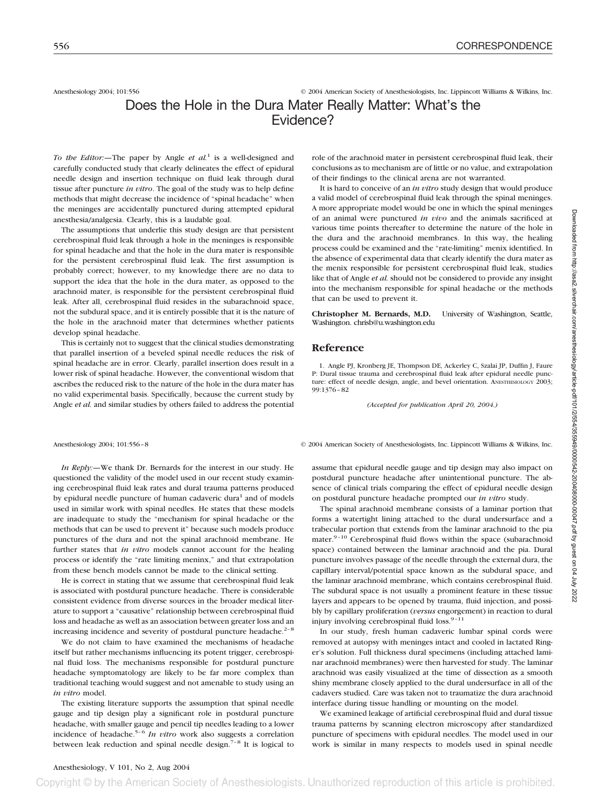Anesthesiology 2004; 101:556 © 2004 American Society of Anesthesiologists, Inc. Lippincott Williams & Wilkins, Inc.

## Does the Hole in the Dura Mater Really Matter: What's the Evidence?

*To the Editor:*—The paper by Angle *et al.*<sup>1</sup> is a well-designed and carefully conducted study that clearly delineates the effect of epidural needle design and insertion technique on fluid leak through dural tissue after puncture *in vitro*. The goal of the study was to help define methods that might decrease the incidence of "spinal headache" when the meninges are accidentally punctured during attempted epidural anesthesia/analgesia. Clearly, this is a laudable goal.

The assumptions that underlie this study design are that persistent cerebrospinal fluid leak through a hole in the meninges is responsible for spinal headache and that the hole in the dura mater is responsible for the persistent cerebrospinal fluid leak. The first assumption is probably correct; however, to my knowledge there are no data to support the idea that the hole in the dura mater, as opposed to the arachnoid mater, is responsible for the persistent cerebrospinal fluid leak. After all, cerebrospinal fluid resides in the subarachnoid space, not the subdural space, and it is entirely possible that it is the nature of the hole in the arachnoid mater that determines whether patients develop spinal headache.

This is certainly not to suggest that the clinical studies demonstrating that parallel insertion of a beveled spinal needle reduces the risk of spinal headache are in error. Clearly, parallel insertion does result in a lower risk of spinal headache. However, the conventional wisdom that ascribes the reduced risk to the nature of the hole in the dura mater has no valid experimental basis. Specifically, because the current study by Angle *et al.* and similar studies by others failed to address the potential role of the arachnoid mater in persistent cerebrospinal fluid leak, their conclusions as to mechanism are of little or no value, and extrapolation of their findings to the clinical arena are not warranted.

It is hard to conceive of an *in vitro* study design that would produce a valid model of cerebrospinal fluid leak through the spinal meninges. A more appropriate model would be one in which the spinal meninges of an animal were punctured *in vivo* and the animals sacrificed at various time points thereafter to determine the nature of the hole in the dura and the arachnoid membranes. In this way, the healing process could be examined and the "rate-limiting" menix identified. In the absence of experimental data that clearly identify the dura mater as the menix responsible for persistent cerebrospinal fluid leak, studies like that of Angle *et al.* should not be considered to provide any insight into the mechanism responsible for spinal headache or the methods that can be used to prevent it.

**Christopher M. Bernards, M.D.** University of Washington, Seattle, Washington. chrisb@u.washington.edu

#### **Reference**

1. Angle PJ, Kronberg JE, Thompson DE, Ackerley C, Szalai JP, Duffin J, Faure P: Dural tissue trauma and cerebrospinal fluid leak after epidural needle puncture: effect of needle design, angle, and bevel orientation. ANESTHESIOLOGY 2003; 99:1376–82

*(Accepted for publication April 20, 2004.)*

*In Reply:—*We thank Dr. Bernards for the interest in our study. He questioned the validity of the model used in our recent study examining cerebrospinal fluid leak rates and dural trauma patterns produced by epidural needle puncture of human cadaveric dura<sup>1</sup> and of models used in similar work with spinal needles. He states that these models are inadequate to study the "mechanism for spinal headache or the methods that can be used to prevent it" because such models produce punctures of the dura and not the spinal arachnoid membrane. He further states that *in vitro* models cannot account for the healing process or identify the "rate limiting meninx," and that extrapolation from these bench models cannot be made to the clinical setting.

He is correct in stating that we assume that cerebrospinal fluid leak is associated with postdural puncture headache. There is considerable consistent evidence from diverse sources in the broader medical literature to support a "causative" relationship between cerebrospinal fluid loss and headache as well as an association between greater loss and an increasing incidence and severity of postdural puncture headache.<sup>2-8</sup>

We do not claim to have examined the mechanisms of headache itself but rather mechanisms influencing its potent trigger, cerebrospinal fluid loss. The mechanisms responsible for postdural puncture headache symptomatology are likely to be far more complex than traditional teaching would suggest and not amenable to study using an *in vitro* model.

The existing literature supports the assumption that spinal needle gauge and tip design play a significant role in postdural puncture headache, with smaller gauge and pencil tip needles leading to a lower incidence of headache.5–6 *In vitro* work also suggests a correlation between leak reduction and spinal needle design.<sup>7-8</sup> It is logical to

Anesthesiology 2004; 101:556-8 © 2004 American Society of Anesthesiologists, Inc. Lippincott Williams & Wilkins, Inc.

assume that epidural needle gauge and tip design may also impact on postdural puncture headache after unintentional puncture. The absence of clinical trials comparing the effect of epidural needle design on postdural puncture headache prompted our *in vitro* study.

The spinal arachnoid membrane consists of a laminar portion that forms a watertight lining attached to the dural undersurface and a trabecular portion that extends from the laminar arachnoid to the pia mater.<sup>9-10</sup> Cerebrospinal fluid flows within the space (subarachnoid space) contained between the laminar arachnoid and the pia. Dural puncture involves passage of the needle through the external dura, the capillary interval/potential space known as the subdural space, and the laminar arachnoid membrane, which contains cerebrospinal fluid. The subdural space is not usually a prominent feature in these tissue layers and appears to be opened by trauma, fluid injection, and possibly by capillary proliferation (*versus* engorgement) in reaction to dural injury involving cerebrospinal fluid loss.<sup>9-11</sup>

In our study, fresh human cadaveric lumbar spinal cords were removed at autopsy with meninges intact and cooled in lactated Ringer's solution. Full thickness dural specimens (including attached laminar arachnoid membranes) were then harvested for study. The laminar arachnoid was easily visualized at the time of dissection as a smooth shiny membrane closely applied to the dural undersurface in all of the cadavers studied. Care was taken not to traumatize the dura arachnoid interface during tissue handling or mounting on the model.

We examined leakage of artificial cerebrospinal fluid and dural tissue trauma patterns by scanning electron microscopy after standardized puncture of specimens with epidural needles. The model used in our work is similar in many respects to models used in spinal needle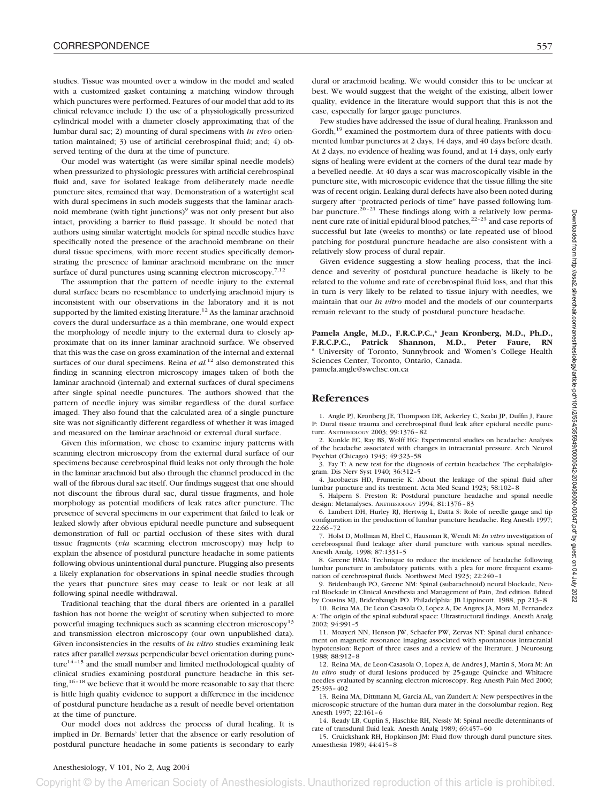studies. Tissue was mounted over a window in the model and sealed with a customized gasket containing a matching window through which punctures were performed. Features of our model that add to its clinical relevance include 1) the use of a physiologically pressurized cylindrical model with a diameter closely approximating that of the lumbar dural sac; 2) mounting of dural specimens with *in vivo* orientation maintained; 3) use of artificial cerebrospinal fluid; and; 4) observed tenting of the dura at the time of puncture.

Our model was watertight (as were similar spinal needle models) when pressurized to physiologic pressures with artificial cerebrospinal fluid and, save for isolated leakage from deliberately made needle puncture sites, remained that way. Demonstration of a watertight seal with dural specimens in such models suggests that the laminar arachnoid membrane (with tight junctions)<sup>9</sup> was not only present but also intact, providing a barrier to fluid passage. It should be noted that authors using similar watertight models for spinal needle studies have specifically noted the presence of the arachnoid membrane on their dural tissue specimens, with more recent studies specifically demonstrating the presence of laminar arachnoid membrane on the inner surface of dural punctures using scanning electron microscopy.<sup>7,12</sup>

The assumption that the pattern of needle injury to the external dural surface bears no resemblance to underlying arachnoid injury is inconsistent with our observations in the laboratory and it is not supported by the limited existing literature.<sup>12</sup> As the laminar arachnoid covers the dural undersurface as a thin membrane, one would expect the morphology of needle injury to the external dura to closely approximate that on its inner laminar arachnoid surface. We observed that this was the case on gross examination of the internal and external surfaces of our dural specimens. Reina *et al.*<sup>12</sup> also demonstrated this finding in scanning electron microscopy images taken of both the laminar arachnoid (internal) and external surfaces of dural specimens after single spinal needle punctures. The authors showed that the pattern of needle injury was similar regardless of the dural surface imaged. They also found that the calculated area of a single puncture site was not significantly different regardless of whether it was imaged and measured on the laminar arachnoid or external dural surface.

Given this information, we chose to examine injury patterns with scanning electron microscopy from the external dural surface of our specimens because cerebrospinal fluid leaks not only through the hole in the laminar arachnoid but also through the channel produced in the wall of the fibrous dural sac itself. Our findings suggest that one should not discount the fibrous dural sac, dural tissue fragments, and hole morphology as potential modifiers of leak rates after puncture. The presence of several specimens in our experiment that failed to leak or leaked slowly after obvious epidural needle puncture and subsequent demonstration of full or partial occlusion of these sites with dural tissue fragments (*via* scanning electron microscopy) may help to explain the absence of postdural puncture headache in some patients following obvious unintentional dural puncture. Plugging also presents a likely explanation for observations in spinal needle studies through the years that puncture sites may cease to leak or not leak at all following spinal needle withdrawal.

Traditional teaching that the dural fibers are oriented in a parallel fashion has not borne the weight of scrutiny when subjected to more powerful imaging techniques such as scanning electron microscopy<sup>13</sup> and transmission electron microscopy (our own unpublished data). Given inconsistencies in the results of *in vitro* studies examining leak rates after parallel *versus* perpendicular bevel orientation during punc $ture<sup>14-15</sup>$  and the small number and limited methodological quality of clinical studies examining postdural puncture headache in this setting,  $16-18$  we believe that it would be more reasonable to say that there is little high quality evidence to support a difference in the incidence of postdural puncture headache as a result of needle bevel orientation at the time of puncture.

Our model does not address the process of dural healing. It is implied in Dr. Bernards' letter that the absence or early resolution of postdural puncture headache in some patients is secondary to early

dural or arachnoid healing. We would consider this to be unclear at best. We would suggest that the weight of the existing, albeit lower quality, evidence in the literature would support that this is not the case, especially for larger gauge punctures.

Few studies have addressed the issue of dural healing. Franksson and Gordh,<sup>19</sup> examined the postmortem dura of three patients with documented lumbar punctures at 2 days, 14 days, and 40 days before death. At 2 days, no evidence of healing was found, and at 14 days, only early signs of healing were evident at the corners of the dural tear made by a bevelled needle. At 40 days a scar was macroscopically visible in the puncture site, with microscopic evidence that the tissue filling the site was of recent origin. Leaking dural defects have also been noted during surgery after "protracted periods of time" have passed following lumbar puncture.<sup>20-21</sup> These findings along with a relatively low permanent cure rate of initial epidural blood patches,<sup>22-23</sup> and case reports of successful but late (weeks to months) or late repeated use of blood patching for postdural puncture headache are also consistent with a relatively slow process of dural repair.

Given evidence suggesting a slow healing process, that the incidence and severity of postdural puncture headache is likely to be related to the volume and rate of cerebrospinal fluid loss, and that this in turn is very likely to be related to tissue injury with needles, we maintain that our *in vitro* model and the models of our counterparts remain relevant to the study of postdural puncture headache.

**Pamela Angle, M.D., F.R.C.P.C.,\* Jean Kronberg, M.D., Ph.D., F.R.C.P.C., Patrick Shannon, M.D., Peter Faure, RN** \* University of Toronto, Sunnybrook and Women's College Health Sciences Center, Toronto, Ontario, Canada. pamela.angle@swchsc.on.ca

#### **References**

1. Angle PJ, Kronberg JE, Thompson DE, Ackerley C, Szalai JP, Duffin J, Faure P: Dural tissue trauma and cerebrospinal fluid leak after epidural needle puncture. ANETHESIOLOGY 2003; 99:1376–82

2. Kunkle EC, Ray BS, Wolff HG: Experimental studies on headache: Analysis of the headache associated with changes in intracranial pressure. Arch Neurol Psychiat (Chicago) 1943; 49:323–58

3. Fay T: A new test for the diagnosis of certain headaches: The cephalalgiogram. Dis Nerv Syst 1940; 36:312–5

4. Jacobaeus HD, Frumerie K: About the leakage of the spinal fluid after lumbar puncture and its treatment. Acta Med Scand 1923; 58:102–8

5. Halpern S. Preston R: Postdural puncture headache and spinal needle design: Metanalyses. ANETHESIOLOGY 1994; 81:1376–83

6. Lambert DH, Hurley RJ, Hertwig L, Datta S: Role of needle gauge and tip configuration in the production of lumbar puncture headache. Reg Anesth 1997; 22:66–72

7. Holst D, Mollman M, Ebel C, Hausman R, Wendt M: *In vitro* investigation of cerebrospinal fluid leakage after dural puncture with various spinal needles. Anesth Analg. 1998; 87:1331–5

8. Greene HMA: Technique to reduce the incidence of headache following lumbar puncture in ambulatory patients, with a plea for more frequent examination of cerebrospinal fluids. Northwest Med 1923; 22:240–1

9. Bridenbaugh PO, Greene NM: Spinal (subarachnoid) neural blockade, Neural Blockade in Clinical Anesthesia and Management of Pain, 2nd edition. Edited by Cousins MJ, Bridenbaugh PO. Philadelphia: JB Lippincott, 1988, pp 213–8

10. Reina MA, De Leon Casasola O, Lopez A, De Angres JA, Mora M, Fernandez A: The origin of the spinal subdural space: Ultrastructural findings. Anesth Analg 2002; 94:991–5

11. Moayeri NN, Henson JW, Schaefer PW, Zervas NT: Spinal dural enhancement on magnetic resonance imaging associated with spontaneous intracranial hypotension: Report of three cases and a review of the literature. J Neurosurg 1988; 88:912–8

12. Reina MA, de Leon-Casasola O, Lopez A, de Andres J, Martin S, Mora M: An *in vitro* study of dural lesions produced by 25-gauge Quincke and Whitacre needles evaluated by scanning electron microscopy. Reg Anesth Pain Med 2000; 25:393–402

13. Reina MA, Dittmann M, Garcia AL, van Zundert A: New perspectives in the microscopic structure of the human dura mater in the dorsolumbar region. Reg Anesth 1997; 22:161–6

14. Ready LB, Cuplin S, Haschke RH, Nessly M: Spinal needle determinants of rate of transdural fluid leak. Anesth Analg 1989; 69:457–60

15. Cruickshank RH, Hopkinson JM: Fluid flow through dural puncture sites. Anaesthesia 1989; 44:415–8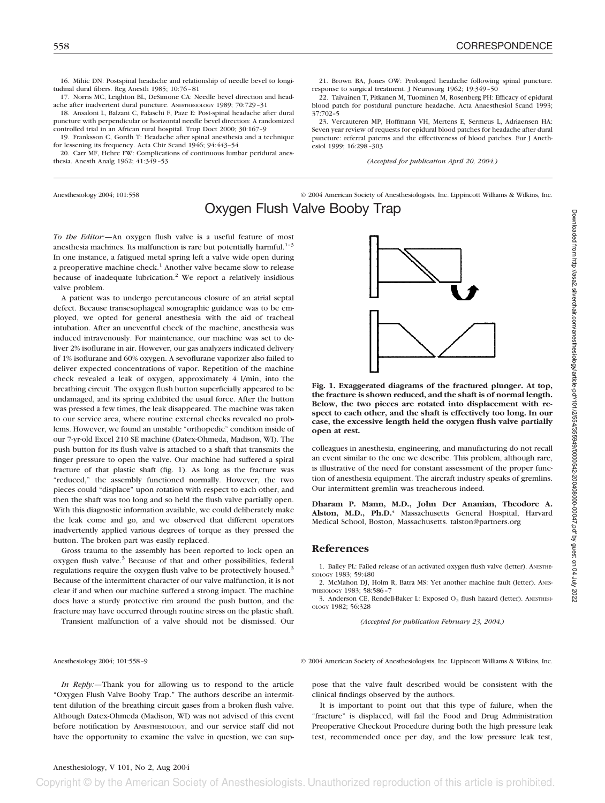16. Mihic DN: Postspinal headache and relationship of needle bevel to longitudinal dural fibers. Reg Anesth 1985; 10:76–81

17. Norris MC, Leighton BL, DeSimone CA: Needle bevel direction and headache after inadvertent dural puncture. ANESTHESIOLOGY 1989; 70:729–31

18. Ansaloni L, Balzani C, Falaschi F, Paze E: Post-spinal headache after dural puncture with perpendicular or horizontal needle bevel direction: A randomized controlled trial in an African rural hospital. Trop Doct 2000; 30:167–9

19. Franksson C, Gordh T: Headache after spinal anesthesia and a technique for lessening its frequency. Acta Chir Scand 1946; 94:443–54

20. Carr MF, Hehre FW: Complications of continuous lumbar peridural anesthesia. Anesth Analg 1962; 41:349–53

21. Brown BA, Jones OW: Prolonged headache following spinal puncture. response to surgical treatment. J Neurosurg 1962; 19:349–50

22. Taivainen T, Pitkanen M, Tuominen M, Rosenberg PH: Efficacy of epidural blood patch for postdural puncture headache. Acta Anaesthesiol Scand 1993; 37:702–5

23. Vercauteren MP, Hoffmann VH, Mertens E, Sermeus L, Adriaensen HA: Seven year review of requests for epidural blood patches for headache after dural puncture: referral paterns and the effectiveness of blood patches. Eur J Anethesiol 1999; 16:298–303

*(Accepted for publication April 20, 2004.)*

Anesthesiology 2004; 101:558 © 2004 American Society of Anesthesiologists, Inc. Lippincott Williams & Wilkins, Inc. Oxygen Flush Valve Booby Trap

*To the Editor:—*An oxygen flush valve is a useful feature of most anesthesia machines. Its malfunction is rare but potentially harmful.<sup>1-3</sup> In one instance, a fatigued metal spring left a valve wide open during a preoperative machine check.1 Another valve became slow to release because of inadequate lubrication.<sup>2</sup> We report a relatively insidious valve problem.

A patient was to undergo percutaneous closure of an atrial septal defect. Because transesophageal sonographic guidance was to be employed, we opted for general anesthesia with the aid of tracheal intubation. After an uneventful check of the machine, anesthesia was induced intravenously. For maintenance, our machine was set to deliver 2% isoflurane in air. However, our gas analyzers indicated delivery of 1% isoflurane and 60% oxygen. A sevoflurane vaporizer also failed to deliver expected concentrations of vapor. Repetition of the machine check revealed a leak of oxygen, approximately 4 l/min, into the breathing circuit. The oxygen flush button superficially appeared to be undamaged, and its spring exhibited the usual force. After the button was pressed a few times, the leak disappeared. The machine was taken to our service area, where routine external checks revealed no problems. However, we found an unstable "orthopedic" condition inside of our 7-yr-old Excel 210 SE machine (Datex-Ohmeda, Madison, WI). The push button for its flush valve is attached to a shaft that transmits the finger pressure to open the valve. Our machine had suffered a spiral fracture of that plastic shaft (fig. 1). As long as the fracture was "reduced," the assembly functioned normally. However, the two pieces could "displace" upon rotation with respect to each other, and then the shaft was too long and so held the flush valve partially open. With this diagnostic information available, we could deliberately make the leak come and go, and we observed that different operators inadvertently applied various degrees of torque as they pressed the button. The broken part was easily replaced.

Gross trauma to the assembly has been reported to lock open an oxygen flush valve.<sup>3</sup> Because of that and other possibilities, federal regulations require the oxygen flush valve to be protectively housed.3 Because of the intermittent character of our valve malfunction, it is not clear if and when our machine suffered a strong impact. The machine does have a sturdy protective rim around the push button, and the fracture may have occurred through routine stress on the plastic shaft.

Transient malfunction of a valve should not be dismissed. Our



**Fig. 1. Exaggerated diagrams of the fractured plunger. At top, the fracture is shown reduced, and the shaft is of normal length. Below, the two pieces are rotated into displacement with respect to each other, and the shaft is effectively too long. In our case, the excessive length held the oxygen flush valve partially open at rest.**

colleagues in anesthesia, engineering, and manufacturing do not recall an event similar to the one we describe. This problem, although rare, is illustrative of the need for constant assessment of the proper function of anesthesia equipment. The aircraft industry speaks of gremlins. Our intermittent gremlin was treacherous indeed.

**Dharam P. Mann, M.D., John Der Ananian, Theodore A. Alston, M.D., Ph.D.\*** Massachusetts General Hospital, Harvard Medical School, Boston, Massachusetts. talston@partners.org

#### **References**

1. Bailey PL: Failed release of an activated oxygen flush valve (letter). ANESTHE-SIOLOGY 1983; 59:480

2. McMahon DJ, Holm R, Batra MS: Yet another machine fault (letter). ANES-THESIOLOGY 1983; 58:586–7

3. Anderson CE, Rendell-Baker L: Exposed  $O<sub>2</sub>$  flush hazard (letter). ANESTHESI-OLOGY 1982; 56:328

*(Accepted for publication February 23, 2004.)*

*In Reply:—*Thank you for allowing us to respond to the article "Oxygen Flush Valve Booby Trap." The authors describe an intermittent dilution of the breathing circuit gases from a broken flush valve. Although Datex-Ohmeda (Madison, WI) was not advised of this event before notification by ANESTHESIOLOGY, and our service staff did not have the opportunity to examine the valve in question, we can sup-

Anesthesiology 2004; 101:558–9 © 2004 American Society of Anesthesiologists, Inc. Lippincott Williams & Wilkins, Inc.

pose that the valve fault described would be consistent with the clinical findings observed by the authors.

It is important to point out that this type of failure, when the "fracture" is displaced, will fail the Food and Drug Administration Preoperative Checkout Procedure during both the high pressure leak test, recommended once per day, and the low pressure leak test,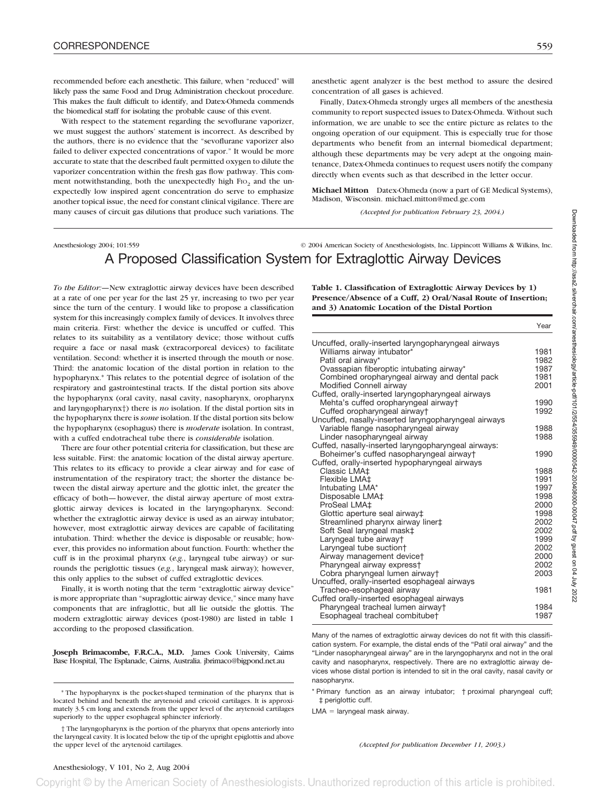Year

recommended before each anesthetic. This failure, when "reduced" will likely pass the same Food and Drug Administration checkout procedure. This makes the fault difficult to identify, and Datex-Ohmeda commends the biomedical staff for isolating the probable cause of this event.

With respect to the statement regarding the sevoflurane vaporizer, we must suggest the authors' statement is incorrect. As described by the authors, there is no evidence that the "sevoflurane vaporizer also failed to deliver expected concentrations of vapor." It would be more accurate to state that the described fault permitted oxygen to dilute the vaporizer concentration within the fresh gas flow pathway. This comment notwithstanding, both the unexpectedly high  $F1O<sub>2</sub>$  and the unexpectedly low inspired agent concentration do serve to emphasize another topical issue, the need for constant clinical vigilance. There are many causes of circuit gas dilutions that produce such variations. The

anesthetic agent analyzer is the best method to assure the desired concentration of all gases is achieved.

Finally, Datex-Ohmeda strongly urges all members of the anesthesia community to report suspected issues to Datex-Ohmeda. Without such information, we are unable to see the entire picture as relates to the ongoing operation of our equipment. This is especially true for those departments who benefit from an internal biomedical department; although these departments may be very adept at the ongoing maintenance, Datex-Ohmeda continues to request users notify the company directly when events such as that described in the letter occur.

**Michael Mitton** Datex-Ohmeda (now a part of GE Medical Systems), Madison, Wisconsin. michael.mitton@med.ge.com

*(Accepted for publication February 23, 2004.)*

Anesthesiology 2004; 101:559 © 2004 American Society of Anesthesiologists, Inc. Lippincott Williams & Wilkins, Inc.

## A Proposed Classification System for Extraglottic Airway Devices

*To the Editor:—*New extraglottic airway devices have been described at a rate of one per year for the last 25 yr, increasing to two per year since the turn of the century. I would like to propose a classification system for this increasingly complex family of devices. It involves three main criteria. First: whether the device is uncuffed or cuffed. This relates to its suitability as a ventilatory device; those without cuffs require a face or nasal mask (extracorporeal devices) to facilitate ventilation. Second: whether it is inserted through the mouth or nose. Third: the anatomic location of the distal portion in relation to the hypopharynx.\* This relates to the potential degree of isolation of the respiratory and gastrointestinal tracts. If the distal portion sits above the hypopharynx (oral cavity, nasal cavity, nasopharynx, oropharynx and laryngopharynx†) there is *no* isolation. If the distal portion sits in the hypopharynx there is *some* isolation. If the distal portion sits below the hypopharynx (esophagus) there is *moderate* isolation. In contrast, with a cuffed endotracheal tube there is *considerable* isolation.

There are four other potential criteria for classification, but these are less suitable. First: the anatomic location of the distal airway aperture. This relates to its efficacy to provide a clear airway and for ease of instrumentation of the respiratory tract; the shorter the distance between the distal airway aperture and the glottic inlet, the greater the efficacy of both—however, the distal airway aperture of most extraglottic airway devices is located in the laryngopharynx. Second: whether the extraglottic airway device is used as an airway intubator; however, most extraglottic airway devices are capable of facilitating intubation. Third: whether the device is disposable or reusable; however, this provides no information about function. Fourth: whether the cuff is in the proximal pharynx (*e.g.*, laryngeal tube airway) or surrounds the periglottic tissues (*e.g.*, laryngeal mask airway); however, this only applies to the subset of cuffed extraglottic devices.

Finally, it is worth noting that the term "extraglottic airway device" is more appropriate than "supraglottic airway device," since many have components that are infraglottic, but all lie outside the glottis. The modern extraglottic airway devices (post-1980) are listed in table 1 according to the proposed classification.

**Joseph Brimacombe, F.R.C.A., M.D.** James Cook University, Cairns Base Hospital, The Esplanade, Cairns, Australia. jbrimaco@bigpond.net.au

\* The hypopharynx is the pocket-shaped termination of the pharynx that is located behind and beneath the arytenoid and cricoid cartilages. It is approximately 3.5 cm long and extends from the upper level of the arytenoid cartilages superiorly to the upper esophageal sphincter inferiorly.

† The laryngopharynx is the portion of the pharynx that opens anteriorly into the laryngeal cavity. It is located below the tip of the upright epiglottis and above the upper level of the arytenoid cartilages.

**Table 1. Classification of Extraglottic Airway Devices by 1) Presence/Absence of a Cuff, 2) Oral/Nasal Route of Insertion; and 3) Anatomic Location of the Distal Portion**

| Uncuffed, orally-inserted laryngopharyngeal airways  |      |
|------------------------------------------------------|------|
| Williams airway intubator*                           | 1981 |
| Patil oral airway*                                   | 1982 |
| Ovassapian fiberoptic intubating airway*             | 1987 |
| Combined oropharyngeal airway and dental pack        | 1981 |
| Modified Connell airway                              | 2001 |
| Cuffed, orally-inserted laryngopharyngeal airways    |      |
| Mehta's cuffed oropharyngeal airway†                 | 1990 |
| Cuffed oropharyngeal airway†                         | 1992 |
| Uncuffed, nasally-inserted laryngopharyngeal airways |      |
| Variable flange nasopharyngeal airway                | 1988 |
| Linder nasopharyngeal airway                         | 1988 |
| Cuffed, nasally-inserted laryngopharyngeal airways:  |      |
| Boheimer's cuffed nasopharyngeal airway†             | 1990 |
| Cuffed, orally-inserted hypopharyngeal airways       |      |
| Classic LMA‡                                         | 1988 |
| Flexible LMA‡                                        | 1991 |
| Intubating LMA*                                      | 1997 |
| Disposable LMA‡                                      | 1998 |
| ProSeal LMA‡                                         | 2000 |
| Glottic aperture seal airway‡                        | 1998 |
| Streamlined pharynx airway liner‡                    | 2002 |
|                                                      | 2002 |
| Soft Seal laryngeal mask‡                            |      |
| Laryngeal tube airway†                               | 1999 |
| Laryngeal tube suction†                              | 2002 |
| Airway management device†                            | 2000 |
| Pharyngeal airway express†                           | 2002 |
| Cobra pharyngeal lumen airway†                       | 2003 |
| Uncuffed, orally-inserted esophageal airways         |      |
| Tracheo-esophageal airway                            | 1981 |
| Cuffed orally-inserted esophageal airways            |      |
| Pharyngeal tracheal lumen airway†                    | 1984 |
| Esophageal tracheal combitubet                       | 1987 |

Many of the names of extraglottic airway devices do not fit with this classification system. For example, the distal ends of the "Patil oral airway" and the "Linder nasopharyngeal airway" are in the laryngopharynx and not in the oral cavity and nasopharynx, respectively. There are no extraglottic airway devices whose distal portion is intended to sit in the oral cavity, nasal cavity or nasopharynx.

- \* Primary function as an airway intubator; † proximal pharyngeal cuff; ‡ periglottic cuff.
- $LMA =$  laryngeal mask airway.

*(Accepted for publication December 11, 2003.)*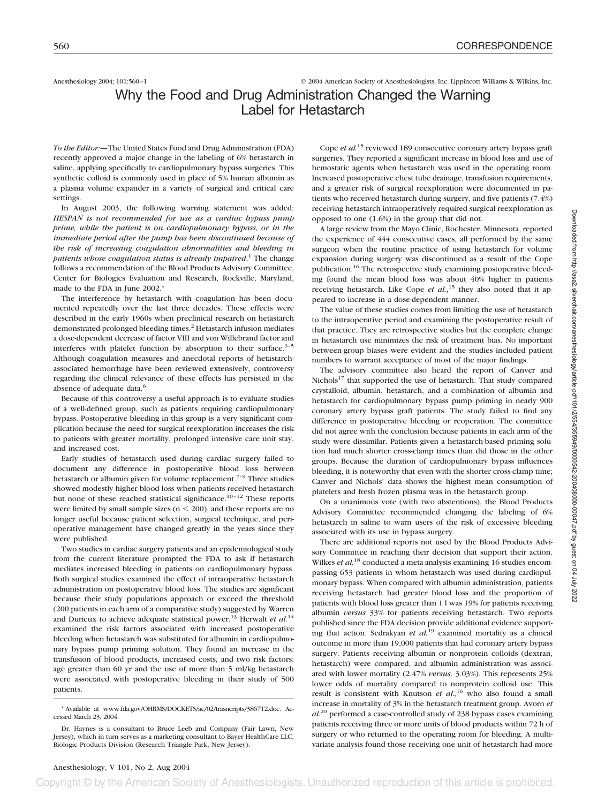Anesthesiology 2004; 101:560–1 © 2004 American Society of Anesthesiologists, Inc. Lippincott Williams & Wilkins, Inc.

## Why the Food and Drug Administration Changed the Warning Label for Hetastarch

*To the Editor:—*The United States Food and Drug Administration (FDA) recently approved a major change in the labeling of 6% hetastarch in saline, applying specifically to cardiopulmonary bypass surgeries. This synthetic colloid is commonly used in place of 5% human albumin as a plasma volume expander in a variety of surgical and critical care settings.

In August 2003, the following warning statement was added: *HESPAN is not recommended for use as a cardiac bypass pump prime, while the patient is on cardiopulmonary bypass, or in the immediate period after the pump has been discontinued because of the risk of increasing coagulation abnormalities and bleeding in patients whose coagulation status is already impaired*. <sup>1</sup> The change follows a recommendation of the Blood Products Advisory Committee, Center for Biologics Evaluation and Research, Rockville, Maryland, made to the FDA in June 2002.\*

The interference by hetastarch with coagulation has been documented repeatedly over the last three decades. These effects were described in the early 1960s when preclinical research on hetastarch demonstrated prolonged bleeding times.<sup>2</sup> Hetastarch infusion mediates a dose-dependent decrease of factor VIII and von Willebrand factor and interferes with platelet function by absorption to their surface. $3-5$ Although coagulation measures and anecdotal reports of hetastarchassociated hemorrhage have been reviewed extensively, controversy regarding the clinical relevance of these effects has persisted in the absence of adequate data.<sup>6</sup>

Because of this controversy a useful approach is to evaluate studies of a well-defined group, such as patients requiring cardiopulmonary bypass. Postoperative bleeding in this group is a very significant complication because the need for surgical reexploration increases the risk to patients with greater mortality, prolonged intensive care unit stay, and increased cost.

Early studies of hetastarch used during cardiac surgery failed to document any difference in postoperative blood loss between hetastarch or albumin given for volume replacement.<sup>7-9</sup> Three studies showed modestly higher blood loss when patients received hetastarch but none of these reached statistical significance.<sup>10-12</sup> These reports were limited by small sample sizes  $(n < 200)$ , and these reports are no longer useful because patient selection, surgical technique, and perioperative management have changed greatly in the years since they were published.

Two studies in cardiac surgery patients and an epidemiological study from the current literature prompted the FDA to ask if hetastarch mediates increased bleeding in patients on cardiopulmonary bypass. Both surgical studies examined the effect of intraoperative hetastarch administration on postoperative blood loss. The studies are significant because their study populations approach or exceed the threshold (200 patients in each arm of a comparative study) suggested by Warren and Durieux to achieve adequate statistical power.<sup>13</sup> Herwalt *et al.*<sup>14</sup> examined the risk factors associated with increased postoperative bleeding when hetastarch was substituted for albumin in cardiopulmonary bypass pump priming solution. They found an increase in the transfusion of blood products, increased costs, and two risk factors: age greater than 60 yr and the use of more than 5 ml/kg hetastarch were associated with postoperative bleeding in their study of 500 patients.

Cope *et al.*<sup>15</sup> reviewed 189 consecutive coronary artery bypass graft surgeries. They reported a significant increase in blood loss and use of hemostatic agents when hetastarch was used in the operating room. Increased postoperative chest tube drainage, transfusion requirements, and a greater risk of surgical reexploration were documented in patients who received hetastarch during surgery, and five patients (7.4%) receiving hetastarch intraoperatively required surgical reexploration as opposed to one (1.6%) in the group that did not.

A large review from the Mayo Clinic, Rochester, Minnesota, reported the experience of 444 consecutive cases, all performed by the same surgeon when the routine practice of using hetastarch for volume expansion during surgery was discontinued as a result of the Cope publication.<sup>16</sup> The retrospective study examining postoperative bleeding found the mean blood loss was about 40% higher in patients receiving hetastarch. Like Cope *et al.*<sup>15</sup> they also noted that it appeared to increase in a dose-dependent manner.

The value of these studies comes from limiting the use of hetastarch to the intraoperative period and examining the postoperative result of that practice. They are retrospective studies but the complete change in hetastarch use minimizes the risk of treatment bias. No important between-group biases were evident and the studies included patient numbers to warrant acceptance of most of the major findings.

The advisory committee also heard the report of Canver and Nichols $17$  that supported the use of hetastarch. That study compared crystalloid, albumin, hetastarch, and a combination of albumin and hetastarch for cardiopulmonary bypass pump priming in nearly 900 coronary artery bypass graft patients. The study failed to find any difference in postoperative bleeding or reoperation. The committee did not agree with the conclusion because patients in each arm of the study were dissimilar. Patients given a hetastarch-based priming solution had much shorter cross-clamp times than did those in the other groups. Because the duration of cardiopulmonary bypass influences bleeding, it is noteworthy that even with the shorter cross-clamp time; Canver and Nichols' data shows the highest mean consumption of platelets and fresh frozen plasma was in the hetastarch group.

On a unanimous vote (with two abstentions), the Blood Products Advisory Committee recommended changing the labeling of 6% hetastarch in saline to warn users of the risk of excessive bleeding associated with its use in bypass surgery.

There are additional reports not used by the Blood Products Advisory Committee in reaching their decision that support their action. Wilkes *et al.*<sup>18</sup> conducted a meta-analysis examining 16 studies encompassing 653 patients in whom hetastarch was used during cardiopulmonary bypass. When compared with albumin administration, patients receiving hetastarch had greater blood loss and the proportion of patients with blood loss greater than 1 l was 19% for patients receiving albumin *versus* 33% for patients receiving hetastarch. Two reports published since the FDA decision provide additional evidence supporting that action. Sedrakyan *et al.*<sup>19</sup> examined mortality as a clinical outcome in more than 19,000 patients that had coronary artery bypass surgery. Patients receiving albumin or nonprotein colloids (dextran, hetastarch) were compared, and albumin administration was associated with lower mortality (2.47% *versus*. 3.03%). This represents 25% lower odds of mortality compared to nonprotein colloid use. This result is consistent with Knutson *et al.,*<sup>16</sup> who also found a small increase in mortality of 3% in the hetastarch treatment group. Avorn *et al.*<sup>20</sup> performed a case-controlled study of 238 bypass cases examining patients receiving three or more units of blood products within 72 h of surgery or who returned to the operating room for bleeding. A multivariate analysis found those receiving one unit of hetastarch had more

<sup>\*</sup> Available at www.fda.gov/OHRMS/DOCKETS/ac/02/trasncripts/3867T2.doc. Accessed March 23, 2004.

Dr. Haynes is a consultant to Bruce Leeb and Company (Fair Lawn, New Jersey), which in turn serves as a marketing consultant to Bayer HealthCare LLC, Biologic Products Division (Research Triangle Park, New Jersey).